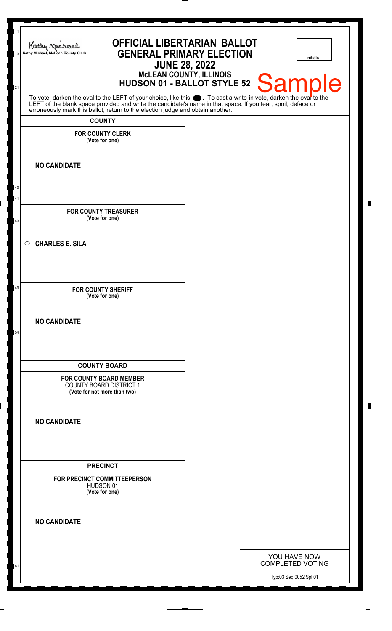| 11<br>13 | Kathy Michael<br>Kathy Michael, McLean County Clerk                                       | <b>OFFICIAL LIBERTARIAN BALLOT</b><br><b>GENERAL PRIMARY ELECTION</b><br><b>JUNE 28, 2022</b><br>McLEAN COUNTY, ILLINOIS<br>HUDSON 01 - BALLOT STYLE 52                                                                       |  | <b>Initials</b>                                   |
|----------|-------------------------------------------------------------------------------------------|-------------------------------------------------------------------------------------------------------------------------------------------------------------------------------------------------------------------------------|--|---------------------------------------------------|
| 21       |                                                                                           |                                                                                                                                                                                                                               |  | <b>Sample</b>                                     |
|          | <b>COUNTY</b>                                                                             | To vote, darken the oval to the LEFT of your choice, like this . To cast a write-in vote, darken the ovar to the LEFT of the blank space provided and write the candidate's name in that space. If you tear, spoil, deface or |  |                                                   |
|          | <b>FOR COUNTY CLERK</b><br>(Vote for one)                                                 |                                                                                                                                                                                                                               |  |                                                   |
|          | <b>NO CANDIDATE</b>                                                                       |                                                                                                                                                                                                                               |  |                                                   |
| 40       |                                                                                           |                                                                                                                                                                                                                               |  |                                                   |
| 41<br>43 | <b>FOR COUNTY TREASURER</b><br>(Vote for one)                                             |                                                                                                                                                                                                                               |  |                                                   |
|          | $\circ$ CHARLES E. SILA                                                                   |                                                                                                                                                                                                                               |  |                                                   |
| 49       | <b>FOR COUNTY SHERIFF</b><br>(Vote for one)                                               |                                                                                                                                                                                                                               |  |                                                   |
| 54       | <b>NO CANDIDATE</b>                                                                       |                                                                                                                                                                                                                               |  |                                                   |
|          | <b>COUNTY BOARD</b>                                                                       |                                                                                                                                                                                                                               |  |                                                   |
|          | <b>FOR COUNTY BOARD MEMBER</b><br>COUNTY BOARD DISTRICT 1<br>(Vote for not more than two) |                                                                                                                                                                                                                               |  |                                                   |
|          | <b>NO CANDIDATE</b>                                                                       |                                                                                                                                                                                                                               |  |                                                   |
|          | <b>PRECINCT</b>                                                                           |                                                                                                                                                                                                                               |  |                                                   |
|          | FOR PRECINCT COMMITTEEPERSON<br>HUDSON 01<br>(Vote for one)                               |                                                                                                                                                                                                                               |  |                                                   |
|          | <b>NO CANDIDATE</b>                                                                       |                                                                                                                                                                                                                               |  |                                                   |
|          |                                                                                           |                                                                                                                                                                                                                               |  | YOU HAVE NOW                                      |
|          |                                                                                           |                                                                                                                                                                                                                               |  | <b>COMPLETED VOTING</b><br>Typ:03 Seq:0052 Spl:01 |
|          |                                                                                           |                                                                                                                                                                                                                               |  |                                                   |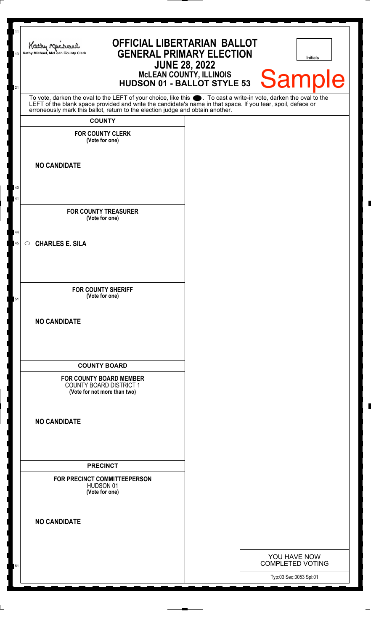| 11<br>13 | <b>OFFICIAL LIBERTARIAN BALLOT</b><br>Kathy Myre<br><b>GENERAL PRIMARY ELECTION</b><br>Kathy Michael, McLean County Clerk<br><b>JUNE 28, 2022</b><br>McLEAN COUNTY, ILLINOIS<br>HUDSON 01 - BALLOT STYLE 53                          |  | <b>Initials</b><br>Sample               |
|----------|--------------------------------------------------------------------------------------------------------------------------------------------------------------------------------------------------------------------------------------|--|-----------------------------------------|
| 21       | To vote, darken the oval to the LEFT of your choice, like this $\bullet$ . To cast a write-in vote, darken the oval to the LEFT of the blank space provided and write the candidate's name in that space. If you tear, spoil, deface |  |                                         |
|          | erroneously mark this ballot, return to the election judge and obtain another.<br><b>COUNTY</b>                                                                                                                                      |  |                                         |
|          | <b>FOR COUNTY CLERK</b>                                                                                                                                                                                                              |  |                                         |
|          | (Vote for one)                                                                                                                                                                                                                       |  |                                         |
|          | <b>NO CANDIDATE</b>                                                                                                                                                                                                                  |  |                                         |
| 40       |                                                                                                                                                                                                                                      |  |                                         |
| 41       |                                                                                                                                                                                                                                      |  |                                         |
|          | <b>FOR COUNTY TREASURER</b><br>(Vote for one)                                                                                                                                                                                        |  |                                         |
| 44<br>45 | <b>CHARLES E. SILA</b><br>$\circ$                                                                                                                                                                                                    |  |                                         |
|          |                                                                                                                                                                                                                                      |  |                                         |
|          |                                                                                                                                                                                                                                      |  |                                         |
| 51       | <b>FOR COUNTY SHERIFF</b><br>(Vote for one)                                                                                                                                                                                          |  |                                         |
|          | <b>NO CANDIDATE</b>                                                                                                                                                                                                                  |  |                                         |
|          |                                                                                                                                                                                                                                      |  |                                         |
|          |                                                                                                                                                                                                                                      |  |                                         |
|          | <b>COUNTY BOARD</b>                                                                                                                                                                                                                  |  |                                         |
|          | <b>FOR COUNTY BOARD MEMBER</b><br><b>COUNTY BOARD DISTRICT 1</b><br>(Vote for not more than two)                                                                                                                                     |  |                                         |
|          |                                                                                                                                                                                                                                      |  |                                         |
|          | <b>NO CANDIDATE</b>                                                                                                                                                                                                                  |  |                                         |
|          |                                                                                                                                                                                                                                      |  |                                         |
|          |                                                                                                                                                                                                                                      |  |                                         |
|          | <b>PRECINCT</b><br>FOR PRECINCT COMMITTEEPERSON                                                                                                                                                                                      |  |                                         |
|          | HUDSON 01<br>(Vote for one)                                                                                                                                                                                                          |  |                                         |
|          |                                                                                                                                                                                                                                      |  |                                         |
|          | <b>NO CANDIDATE</b>                                                                                                                                                                                                                  |  |                                         |
|          |                                                                                                                                                                                                                                      |  |                                         |
|          |                                                                                                                                                                                                                                      |  | YOU HAVE NOW<br><b>COMPLETED VOTING</b> |
| 0 I      |                                                                                                                                                                                                                                      |  | Typ:03 Seq:0053 Spl:01                  |
|          |                                                                                                                                                                                                                                      |  |                                         |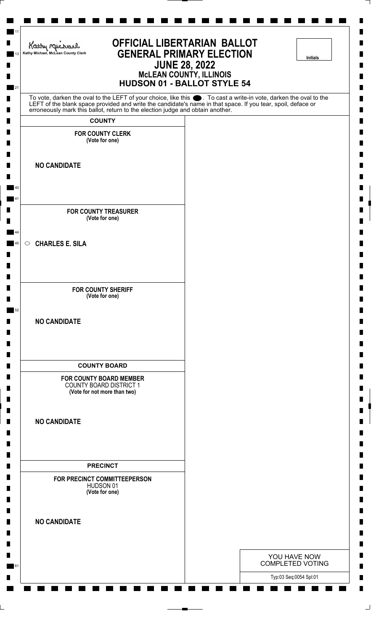| Kathy nuchard<br>Kathy Michael, McLean County Clerk                                                                                                                                                                           | <b>OFFICIAL LIBERTARIAN BALLOT</b> | <b>GENERAL PRIMARY ELECTION</b><br><b>JUNE 28, 2022</b><br><b>MCLEAN COUNTY, ILLINOIS</b><br><b>HUDSON 01 - BALLOT STYLE 54</b> |                                         | <b>Initials</b> |
|-------------------------------------------------------------------------------------------------------------------------------------------------------------------------------------------------------------------------------|------------------------------------|---------------------------------------------------------------------------------------------------------------------------------|-----------------------------------------|-----------------|
| To vote, darken the oval to the LEFT of your choice, like this . To cast a write-in vote, darken the oval to the LEFT of the blank space provided and write the candidate's name in that space. If you tear, spoil, deface or |                                    |                                                                                                                                 |                                         |                 |
| <b>COUNTY</b>                                                                                                                                                                                                                 |                                    |                                                                                                                                 |                                         |                 |
| <b>FOR COUNTY CLERK</b><br>(Vote for one)                                                                                                                                                                                     |                                    |                                                                                                                                 |                                         |                 |
| <b>NO CANDIDATE</b>                                                                                                                                                                                                           |                                    |                                                                                                                                 |                                         |                 |
| <b>FOR COUNTY TREASURER</b><br>(Vote for one)                                                                                                                                                                                 |                                    |                                                                                                                                 |                                         |                 |
| <b>CHARLES E. SILA</b><br>$\circ$                                                                                                                                                                                             |                                    |                                                                                                                                 |                                         |                 |
| <b>FOR COUNTY SHERIFF</b><br>(Vote for one)                                                                                                                                                                                   |                                    |                                                                                                                                 |                                         |                 |
| <b>NO CANDIDATE</b>                                                                                                                                                                                                           |                                    |                                                                                                                                 |                                         |                 |
| <b>COUNTY BOARD</b>                                                                                                                                                                                                           |                                    |                                                                                                                                 |                                         |                 |
| <b>FOR COUNTY BOARD MEMBER</b><br><b>COUNTY BOARD DISTRICT 1</b><br>(Vote for not more than two)                                                                                                                              |                                    |                                                                                                                                 |                                         |                 |
| <b>NO CANDIDATE</b>                                                                                                                                                                                                           |                                    |                                                                                                                                 |                                         |                 |
| <b>PRECINCT</b>                                                                                                                                                                                                               |                                    |                                                                                                                                 |                                         |                 |
| FOR PRECINCT COMMITTEEPERSON<br>HUDSON 01<br>(Vote for one)                                                                                                                                                                   |                                    |                                                                                                                                 |                                         |                 |
| <b>NO CANDIDATE</b>                                                                                                                                                                                                           |                                    |                                                                                                                                 |                                         |                 |
|                                                                                                                                                                                                                               |                                    |                                                                                                                                 | YOU HAVE NOW<br><b>COMPLETED VOTING</b> |                 |
|                                                                                                                                                                                                                               |                                    |                                                                                                                                 | Typ:03 Seq:0054 Spl:01                  |                 |

⅂